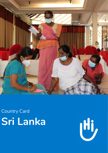

# **r**n Lar Country Card **Sri Lanka**

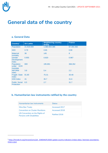$\overline{a}$ 

## **General data of the country**

### **a. General Data**

| Country <sup>1</sup>                  | <b>Sri Lanka</b> | <b>Neighboring country</b><br>(India) | <b>France</b> |
|---------------------------------------|------------------|---------------------------------------|---------------|
| Population                            | 21.919.000       | 1.380.004.385                         | 67.391.582    |
| <b>IHDI</b>                           | 0.78             | 0.65                                  | 0.90          |
| <b>Maternal</b><br>mortality          | 36               | 145                                   | 8             |
| Gender<br><b>Development</b><br>Index | 0.955            | 0.820                                 | 0.987         |
| Population<br>under HCR<br>mandate    | 800              | 195.891                               | 368,352       |
| <b>INFORM</b><br>index                | 3.8              | 5.4                                   | 2.2           |
| <b>Fragile State</b><br>Index         | 81.80            | 75.31                                 | 30.48         |
| <b>GINI Index</b>                     | 41               | 35.7                                  | 31.6          |
| <b>Public Social</b><br>Protection    | 6.5              | 2.7                                   | 31.7          |

### **b. Humanitarian law instruments ratified by the country**

| Humanitarian law instruments                                       | <b>Status</b> |
|--------------------------------------------------------------------|---------------|
| <b>Mine Ban Treaty</b>                                             | Accessed 2017 |
| Convention on Cluster Munitions                                    | Accessed 2018 |
| UN Convention on the Rights of<br><b>Persons with Disabilities</b> | Ratified 2016 |

<sup>&</sup>lt;sup>1</sup> [https://hinside.hi.org/intranet/jcms/pl1\\_2540344/fr/2020-update-country-indicators-2ndary-data-/-donnees-secondaires](https://hinside.hi.org/intranet/jcms/pl1_2540344/fr/2020-update-country-indicators-2ndary-data-/-donnees-secondaires-mises-a-jour)[mises-a-jour](https://hinside.hi.org/intranet/jcms/pl1_2540344/fr/2020-update-country-indicators-2ndary-data-/-donnees-secondaires-mises-a-jour)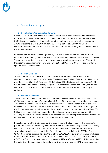### **c. Geopolitical analysis**

#### **1 - Social/cultural/demographic elements**

Sri Lanka is a South Asian island in the Indian Ocean. The climate is tropical with northeast monsoon from December–March and southwest monsoon form June to October. The area of 65,610 sq.km is mostly flat with mountains in the southern and central part of the country. 20.7% of the land is arable, 30% are forests. The population of 21,803,000 (2018) is concentrated within the wet zone in the southwest, urban centers along the east coast and on the Jaffna peninsula.

Persisting cultural attitudes relating disability to a punishment for past sins and a burden influence the dominantly charity-based discourse on matters related to Persons with Disabilities. The attitudinal barriers play a major role in stagnation of policies and regulations. They further frustrate the accessibility, inclusivity and participation of Persons with Disabilities in different spheres such as employment.

#### **2 - Political Scenario**

Since 1802 the country was British crown colony, until independence in 1948. In 1972, it changed its name from Ceylon to Sri Lanka. The Democratic Socialist Republic of Sri Lanka is a presidential republic with 9 Provinces, 25 Districts and 331 Divisions split into approx. 14.000 Grama Niladhari divisions. Whereby the political system is considered democratic, the political culture is not. The political culture seems to be determined by centralization, hierarchy and authority.

#### **3 - Economic elements**

Sri Lanka's Gross Domestic Product (GPD) has been decreasing since 2015 (5%) up to 2019 (2.2%). Agriculture accounts for approximately 21% of the gross domestic product and employs 38% of the workforce. Manufacturing industries account for approximately 19% of the gross domestic product and employ about 17% of the workforce. The service sector is the largest of the Sri Lanka economy, employing 45% of the workforce and contributing roughly 60% of GDP. Sri Lanka's economic is import-dependent, the balance of trade is usually negative with a widening trade deficit. Remittances from emigrants accounted for approximately 8% of the GDP in 2019 (USD 6.7 billion in 2019). The inflation rate is 4.6% in 2020.

In reaction to the COVID 19 pandemic, the Government of Sri Lanka took early measures to prevent the spread of the virus by instituting curfews and social distancing measures, activating testing and quarantine procedures, delivering food and maintaining essential services, and suspending incoming passenger flights. Sri Lanka succeeded in limiting its COVID-19 caseload to 3.363 confirmed cases and 13 deaths as of the 29/09/2020. However, Sri Lanka's graduation to upper middle-income status in 2019 has likely been affected by socio-economic impacts of COVID-19. The living wage of a family is in average 42700LKR/month (225€). Prior to the crisis, the majority of the population in Sri Lanka were living on low incomes. 36% of the population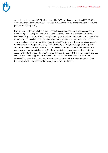

was living on less than USD \$1.90 per day while 74% was living on less than USD \$3.40 per day. The districts of Mullaitivu, Mannar, Kilinochchi, Batticaloa and Moneragala are considered pockets of severe poverty

During early September, Sri Lankan government has announced economic emergency amid rising food prices, a depreciating currency and rapidly depleting forex reserve. President Gotabaya Rajapaksa has called the army to manage the crisis by rationing the supply of various essential goods. Initial analysis says that a number of factors has contributed to this crisis. Tourism industry which brings 10% of country's GDP is hit hard by the pandemic; as a result forex reserve has dropped drastically. With the supply of foreign exchange drying up, the amount of money that Sri Lankans have had to shell out to purchase the foreign exchange necessary to import goods has risen. So, the value of Sri Lankan rupee has depreciated by around 8% so far this year. It has to be noted that country depends heavily on imports to meet even the basic food supplies. So, the price of food prices has risen in tandem with the depreciating rupee. The government's ban on the use of chemical fertilisers in farming has further aggravated the crisis by dampening agricultural production.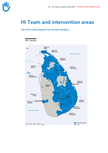

## **HI Team and intervention areas**

#### **The HI Sri Lanka program has 44 staff members**

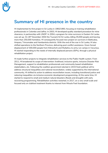### **Summary of HI presence in the country**

HI implemented its first project in Sri Lanka in 1992/1993, focusing on training rehabilitation professionals in Colombo and Jaffna. In 2003, HI developed quality standard procedure for mine clearance, in partnership with UNDP. In 2004, a program for mine survivors in Eastern Sri Lanka was set up. On 26th December 2004 the Tsunami hit Sri Lanka, killing 35,000 people and leaving more than 250,000 homeless. HI consequently focused new project on survivors in Batticaloa, Ampara, Trincomalee and Hambantota districts. With the end of the war in Sri Lanka, HI also shifted operations to the Northern Province, delivering post conflict assistance. Given forced displacement of 300,000 people from Kilinochchi and Mullaitivu to army run camps in Vavuniya, HI started responding to the needs of internally displaced persons (IDPs), through a physical rehabilitation project.

HI made further projects to integrate rehabilitation services to the Public Health system. From 2011, HI broadened its scope of intervention: livelihood, inclusive sports, inclusive Disaster Risk Management, support to rehabilitation professionals and community based rehabilitation stakeholders, etc. Following the coalition government elected in 2015 fresh political will to address structural inequalities and national reconciliation, widely supported by the international community, HI shifted its action to address reconciliation issues, including transitional justice and reducing inequalities via inclusive economic development programming. At the same time, HI started to respond to small and medium natural disasters (floods and drought) with early recovering programming. Rehabilitation activities restarted, in 2017, on a very small scale and focused only on clubfoot treatment thanks to interest from Miracle Feet foundation.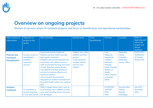

## **Overview on ongoing projects**

Sectors of services where HI conducts projects and focus on beneficiaries and operational partnerships

| Main sectors of<br>intervention                                   | Objective of<br>project in the<br>sector                                    | Main activities                                                                                                                                                                                                                                                                                                                                                                                                                                                                         | <b>Beneficiaries</b>                                                                                                   | Final<br>beneficiaries | <b>Partners</b>                                                                                                                                                                          | Location                                                                | Dates of<br>beginning and<br>end of the<br>project and<br>donors<br>funding it |
|-------------------------------------------------------------------|-----------------------------------------------------------------------------|-----------------------------------------------------------------------------------------------------------------------------------------------------------------------------------------------------------------------------------------------------------------------------------------------------------------------------------------------------------------------------------------------------------------------------------------------------------------------------------------|------------------------------------------------------------------------------------------------------------------------|------------------------|------------------------------------------------------------------------------------------------------------------------------------------------------------------------------------------|-------------------------------------------------------------------------|--------------------------------------------------------------------------------|
| <b>Physical and</b><br><b>Functional</b><br><b>Rehabilitation</b> | Increase access to<br>rehabilitation<br>(clubfoot<br>treatment)<br>services | Equip participating healthcare<br>facilities and their staff to provide<br>high-quality treatment<br>Establish referral links between the<br>community and clubfoot clinics in<br>order to promote the long-term goal<br>of early detection and treatment<br>Link patients and their families to<br>services to increase adherence to<br>treatment protocol<br>Work towards the successful<br>integration of clubfoot treatment into<br>the public health system at a national<br>level | Children born with<br>clubfoot and their<br>parents<br>1416 previously<br>enrolled children<br>and 311 new<br>children |                        | Lady<br>Ridgeway<br><b>Hospital for</b><br>Children<br><b>Batticaloa</b><br>Hospital,<br><b>Kandy Hospital</b><br>Ministry of<br><b>Health</b><br>(MoH), Teachin<br>g Hospital<br>Jaffna | <b>Batticaloa</b><br>Kandy,<br>Colombo,<br>Batticaloa,<br>Kandy, Jaffna | 01/07/2021-<br>30/06/2022<br>(5 <sup>th</sup> phase)<br><b>Miracle Feet</b>    |
| <b>Inclusive</b><br><b>Livelihood</b>                             | To contribute to<br>poverty reduction<br>in Uva and Central                 | SMEs in target values chain, such as<br>local farming, value-addition or retail<br>ones, and including women-led ones<br>are developed                                                                                                                                                                                                                                                                                                                                                  |                                                                                                                        |                        | ACTEDTED,<br><b>CFFFNFT</b><br><b>FIOH</b><br><b>HDO</b>                                                                                                                                 | Nuwara Eliya<br>Matale<br><b>Badulla</b><br>Monragala                   | July 2017 -<br>December<br>2021                                                |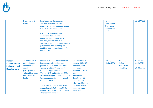|                                                                                           | <b>Provinces of Sri</b><br>Lanka                                                                                                | <b>Local business Development</b><br>Services providers are able to<br>provide SMEs with adequate support<br>to pursue their development<br>CSO, Local authorities and<br>deconcentrated government<br>departments jointly engage in<br>inclusive, resilient and multi-<br>stakeholders economic development                                                                                                                                          |                                                                                                                                                                                                                               | Human<br>Development<br>Organization,<br>Future in our<br>hands |                                                  | <b>UE (DEVCO)</b>                          |
|-------------------------------------------------------------------------------------------|---------------------------------------------------------------------------------------------------------------------------------|-------------------------------------------------------------------------------------------------------------------------------------------------------------------------------------------------------------------------------------------------------------------------------------------------------------------------------------------------------------------------------------------------------------------------------------------------------|-------------------------------------------------------------------------------------------------------------------------------------------------------------------------------------------------------------------------------|-----------------------------------------------------------------|--------------------------------------------------|--------------------------------------------|
|                                                                                           |                                                                                                                                 | governance, thus providing an<br>enabling business environment for<br>target SMEs.                                                                                                                                                                                                                                                                                                                                                                    |                                                                                                                                                                                                                               |                                                                 |                                                  |                                            |
| <b>Inclusive</b><br><b>Livelihood and</b><br><b>Inclusive Local</b><br><b>Development</b> | To contribute to<br>promoting the<br>economic and<br>social<br>participation of<br>vulnerable women<br>in Northern Sri<br>Lanka | District level CSOs have improved<br>knowledge, skills, policies and<br>procedures to include vulnerable<br>women and identify members'<br>livelihood support needs<br>Viluthu, JSAC and the target CSOs<br>are able to support vulnerable people<br>to access provincial governmental<br>livelihood services.<br>Vulnerable women have increased<br>access to markets through CSOs'<br>support to improve connections with<br>other economic actors. | 1000 vulnerable<br>women, 500 CSO<br>members, 1600<br>community<br>members, officials<br>from the<br>government<br>department, 60<br>key provincial<br>officials/politicians,<br>100 company or<br>producer group<br>managers | CAMID,<br>Viluthu, JSAC                                         | Mannar,<br>Jaffna,<br>Kilinochchi,<br>Mullaitivu | $01/1/2018$ -<br>31/12/2021<br>UE (CSO-LA) |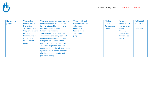| <b>Rights and</b> | <b>Women Led</b>    | Women's groups are empowered to      | Women with and       | Viluthu,    | Ampara,      | $01/01/2020 -$ |
|-------------------|---------------------|--------------------------------------|----------------------|-------------|--------------|----------------|
| policy            | <b>Human Rights</b> | lead awareness-raising campaigns     | without disabilities | Women       | Anuradapura, | 31/12/2021     |
|                   | Promotion           | for informing public opinion and     | and women            | Development | Hambantota,  |                |
|                   | To contribute to    | lobby key decision makers on         | groups in 8          | Centre      | Jaffna,      | UE (EIDHR)     |
|                   | the promotion and   | fundamental freedoms                 | districts of Sri     |             | Mannar,      |                |
|                   | protection of       | Women led activities sensitize       | Lanka, youth         |             | Moneragala,  |                |
|                   | human rights and    | communities and lobby local and      | groups               |             | Trincomalee, |                |
|                   | fundamental         | national government authorities to   |                      |             | Kandy        |                |
|                   | freedoms in Sri     | help promote and protect the         |                      |             |              |                |
|                   | Lanka               | citizens' fundamental freedoms       |                      |             |              |                |
|                   |                     | The youth display an increased       |                      |             |              |                |
|                   |                     | understanding of the role that human |                      |             |              |                |
|                   |                     | rights and fundamental freedoms      |                      |             |              |                |
|                   |                     | play in building a peaceful and      |                      |             |              |                |
|                   |                     | pluralistic society.                 |                      |             |              |                |